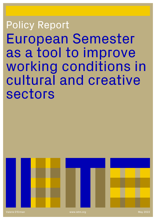# European Semester as a tool to improve working conditions in cultural and creative sectors Policy Report



Valerie D'Erman www.ietm.org May 2022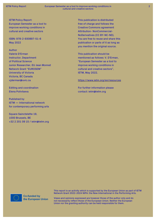IETM Policy Report: European Semester as a tool to improve working conditions in cultural and creative sectors

ISBN: 978-2-930897-51-6 May 2022

### Author

Valerie D'Erman Instructor, Department of Political Science Junior Researcher, EU Jean Monnet Network Grant "EUROSEM" University of Victoria Victoria, BC Canada vjderman@uvic.ca

Editing and coordination Elena Polivtseva

Published by IETM — International network for contemporary performing arts

Square Sainctelette 19, 1000 Brussels, BE +32 2 201 09 15 / ietm@ietm.org This publication is distributed free of charge and follows the Creative Commons agreement Attribution- NonCommercial-NoDerivatives (CC BY-NC-ND). You are free to reuse and share this publication or parts of it as long as you mention the original source.

This publication should be mentioned as follows: V. D'Erman, "European Semester as a tool to improve working conditions in cultural and creative sectors", IETM, May 2022.

### <https://www.ietm.org/en/resources>

For further information please contact: ietm@ietm.org

**Co-funded by** the European Union This report is an activity which is supported by the European Union as part of IETM Network Grant 2022-2024 NIPA: the New International in the Performing Arts.

Views and opinions expressed are however those of the author only and do not necessarily reflect those of the European Union. Neither the European Union nor the granting authority can be held responsible for them.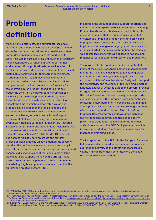## **Problem definition**

Many artists, performers, and cultural professionals working in and among the European Union (EU) member states lack access to social security provisions, stable career development, and sustainable conditions for work. This lack is particularly salient given the frequently inconsistent nature of funding and/or opportunities available to cultural professionals, as well as a lack of legal structures providing social protection to artists and sustainable frameworks for their career development. In addition, market-based mechanisms for artists and cultural professionals place a premium on prices being attached to a final product or performance for remuneration. Such product-based norms for pay frequently constrain the background circumstances necessary for the development of artistic careers. Examples of such circumstances include: affording oneself the time in which to creatively develop and produce; having access to the requisite space and materials in which to work on artistic and cultural endeavours; having access to some form of support in the event of illness, caregiving, and unanticipated events. As noted in a European Parliamentary Research Service briefing, "numerous independent freelance artists do not necessarily benefit from social protection and unemployment schemes" [1]. The COVID-19 pandemic has been particularly hard on artists and cultural professionals: lockdowns on social gatherings severely curtailed the performances and art shows that many in the cultural sector depend on for revenue, and widespread economic dislocations meant that consumers at large were less likely to spend money on the arts [2]. These upsets prompted by the pandemic further compounded the existing fragile and precarious nature of work in the cultural and creative sectors (CCS).

In addition, the amount of public support for artists and cultural producers/performers varies enormously among EU member states [3]. It is also important to take into account the reality that EU competences in the field of culture are limited and mostly extend to provisions of project-based funding and grant awards. This has implications for a longer-term geographic imbalance of artists and artistic endeavours throughout the Union, as well as implications for uneven access to national and regional outputs of cultural expression and production.

The purpose of this report is to outline the potential utility of the EU's European Semester, a macroeconomic monitoring mechanism designed to facilitate greater cooperation and convergence amongst the social and economic policies of member states. Designed to support the productivity and resiliency of the EU's single market, a notable aspect of what the European Semester provides is regular surveying of labour market conditions across the Union. Therefore, this report analyzes and provides suggestions for how the European Semester might help to facilitate more permanent mechanisms that maintain and improve the social and economic working conditions of artists and cultural producers. The utility of the European Semester for this endeavour has increased due to the recent Recovery and Resilience Facility (RRF) – a supranational rescue plan for EU member states in response to the COVID-19 pandemic – which is newly integrated into the Semester's framework for macroeconomic surveillance.

The incorporation of the RRF into the European Semester helps to incentivize coordination between national and supranational levels, as the grants and loans issued via the RRF can potentially generate more domestic responses to EU prescriptions.

[1] EPRS (May 2020). "EU support for artists and the cultural and creative sector during the coronavirus crisis." Author: Magdalena Pasikowska-Schnass Members' Research Service. PE 649.414.

[2] Trakivina, Ekaterina, and Pierluigi Sacco (7 September 2020). "Culture shock: COVID-19 and the cultural and creative sectors." OECD: Organization for Economic Cooperation and Development. Retrieved from: [https://www.oecd.org/coronavirus/policy-responses/culture-shock-covid-19-and-the](https://www.oecd.org/coronavirus/policy-responses/culture-shock-covid-19-and-the-cultural-and-creati)[cultural-and-creative-sectors-08da9e0e/](https://www.oecd.org/coronavirus/policy-responses/culture-shock-covid-19-and-the-cultural-and-creati)

<sup>[3]</sup> Klamer, Arjo, Lyudmilla Petrova, and Anna Mignosa (2006). "Financing the Arts and Culture in the European Union." European Parliament, DG Internal Policies of the Union: Policy Department, Structural and Cohesion Policies. IP/B/CULT/ST/2005\_104, PE 375.309.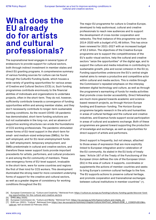### **What does the EU already do for artists and cultural professionals?**

The supranational level engages in several types of endeavours to provide support for cultural sectors, both through indirect investment in member states and direct EU granting programs. A comprehensive summary of various funding sources for culture can be found through the CulturEU Funding Guide, which houses a wide variety of granting opportunities for various areas of Creative and Cultural Sectors (CCS) [4]. Such funding programmes contribute enormously to the financial abilities of individuals and organizations to undertake projects, often in the short-term. They do not, however, sufficiently contribute towards a convergence of funding opportunities within and among member states, and they don't necessarily contribute to longer-term sustainable working conditions. As the recent COVID-19 pandemic has demonstrated, short-term funding solutions are but not sustainable in the long-run, and an absence of supportive working structures can erode the foundations of CCS working professionals. The pandemic stimulated newer forms of EU-level support in the short-term for small- and medium-sized enterprises (SMEs), for the self-employed, and for EU-level unemployment funds [5]. Self-employment, temporary employment, and SMEs predominate in cultural and creative sectors, and therefore these newer support tools provide important precedents for artists, performers, and cultural producers in and among the EU community of members. These new emergency forms of EU-level support, invaluable in the short-term, were for some countries and regions the first of their kind for CCS workers. This development illuminated the strong need for more consistent underlying forms of support for the creative and cultural sectors, as well as a greater degree of consistency for working conditions throughout the EU.

The major EU programme for culture is Creative Europe, developed to help audiovisual, cultural and creative professionals to reach new audiences and to support the development of cross-border cooperation and networks. The first instance of this programme ran from 2014-2020 with a budget of €1.46 billion. This has since been renewed for 2021-2027 with an increased budget of €2.2 billion. The objectives of the Creative Europe programme are to support the competitiveness of the EU's audio-visual sectors, help the cultural and creative sectors "seize the opportunities" of the digital age, and to support the culture and media industries in contributing to sustainable growth, jobs and social cohesion in the EU [6]. Funding opportunities underscore the EU's central single market aims to remain a productive and competitive actor within cultural and media sectors. This is visible through the Commission's repeated emphasis on the interplay between digital technology and culture, as well as through the programme's earmarking of funds for media activities that promote cross-border accessibility. Direct fellowships are much more geared towards academic and sciencebased research projects, as through Horizon Europe funding and Erasmus+ funding. The Horizon Europe programme targets research in the arts and humanities in areas of cultural heritage and the cultural and creative industries, and Erasmus funds support social participation in areas of cultural and academic exchange. Both of these programmes are geared toward supporting the production of knowledge and exchange, as well as opportunities for direct support of artists and performers.

Direct support is frequently, but not always, attached to those areas of expression that are more explicitly linked to European integration and/or celebration of the EU community. As stated in the EU body of treaty laws: "Article 167 of the Treaty of the Functioning of the European Union defines the role of the European Union (EU) in the area of culture: it supports, coordinates or supplements the actions of member countries and seeks to bring Europe's common cultural heritage to the fore. The EU supports actions to preserve cultural heritage, and promote cooperation and transnational exchanges between cultural institutions in member countries" [7].

<sup>[4]</sup> European Commission (a). "Culture and Creativity." Retrieved from: [https://culture.ec.europa.eu/funding/cultureu-funding-guide/discover-fund](https://culture.ec.europa.eu/funding/cultureu-funding-guide/discover-funding-opportunities-for-the-c)[ing-opportunities-for-the-cultural-and-creative-sectors](https://culture.ec.europa.eu/funding/cultureu-funding-guide/discover-funding-opportunities-for-the-c)

<sup>[5]</sup> EPRS (May 2020).

<sup>[6]</sup> European Commission (b). "Culture and Media." Retrieved from: [https://ec.europa.eu/info/topics/culture-and-media\\_en.](https://ec.europa.eu/info/topics/culture-and-media_en)

<sup>[7]</sup> EUR-Lex. (2021). "Culture". Retrieved from [https://eur-lex.europa.eu/summary/chapter/culture.html?root\\_default=SUM\\_1\\_CODED%3D10&lo](https://eur-lex.europa.eu/summary/chapter/culture.html?root_default=SUM_1_CODED%3D10&locale=en)[cale=en,](https://eur-lex.europa.eu/summary/chapter/culture.html?root_default=SUM_1_CODED%3D10&locale=en) last accessed 22 February 2022.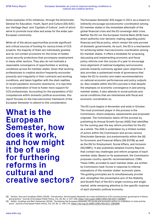Some examples of EU initiatives, through the Directorate-General for Education, Youth, Sport and Culture (DG-EAC) are 'Heritage Days' and 'Capitals of Culture', both of which serve to promote local sites and areas for the wider pan-European community.

While all of the above opportunities provide significant and critical sources of funding for various kinds of CCS projects, the majority of them are individually granted, and do not contain provisions for the kinds of hidden social security protections that accompany employment in many other sectors. They also do not motivate a reasonable convergence of opportunities or working conditions across EU member states. Given that working professionals in creative sectors frequently encounter precarity and irregularity in their contracts and working conditions, and taken together with the stark realities of recent pandemic economic downturns, it is ripe time for a consideration of how to foster more support for CCS professionals. Accounting for the parameters of EU competences within domestic political economies, this report focuses on the macroeconomic framework of the European Semester to attend to this consideration.

**What is the European Semester, how does it work, and how might it be of use for furthering reforms in cultural and creative sectors?** The European Semester (ES) began in 2011 as a means to indirectly encourage socioeconomic coordination among EU member states in the immediate aftermath of the global financial crisis and the EU sovereign debt crisis. Neither the EU nor the European Central Bank (ECB) have direct authority over decision-making regarding public finances and fiscal policy, which remain the sole purview of domestic governments. As such, the ES is a mechanism for achieving better macroeconomic coordination among EU member states. It offers a timetable for proposing, discussing and implementing economic and fiscal policy reforms over the course of a year to encourage more alignment of national budgetary and economic policies towards commonly agreed-upon objectives. It also provides a systemized mode of governance that helps the EU to monitor and make recommendations on national economic performances and policy outputs [8]. Also notable within the ES's purview is that despite the emphasis on economic convergence in and among member states, it also attends to social policies and social conditions that are intertwined with fiscal and economic coordination [9].

The ES cycle begins in November and ends in October. The most prominent player in the process is the Commission, where analyses, assessments and proposals originate. The Commission starts off the process by publishing its Annual Growth Survey (AGS) that identifies for the coming year the key reform priorities for the EU as a whole. The AGS is undertaken by a limited number of actors within the Commission and across various Directorate-Generals, but predominantly within the DG for Economic and Financial Affairs (DG ECFIN) as well as the DG for Employment, Social Affairs, and Inclusion (DG EMPL). It also publishes detailed Country Reports that contain key challenges and reform progress of each member state. Based on its assessment, the Commission proposes country-specific recommendations: CSRs. These CSRs, provided to each member state, are written by Commission task-forces in response to internal evaluations of the member states' economic plans. The guiding principles are to simultaneously provide and strengthen the preventative arm of the Stability and Growth Pact of the EU's single currency and single market, while remaining attentive to the specific nuances of each domestic political economy.

[8] Verdun, Amy and Jonathan Zeitlin (2018), "Introduction: the European Semester as a new architecture of EU socioeconomic governance in theory and practice." Journal of European Public Policy, Vol. 25, No. 2: 137-148, <https://doi.org10.1080/13501763.2017.1363807>

[9] Zeitlin, Jonathan and Bart Vanhercke (2018). "Socializing the European Semester: EU social and economic policy co-ordination in crisis and beyond." Journal of European Public Policy, Vol. 25, No. 2: 149-174,<https://doi.org.10.1080/13501763.2017.1363269>.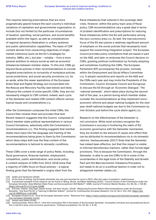This requires tailoring prescriptions that are more pragmatically geared toward the each country's individual variations of capitalism and governmental organization; to include (but not limited to) the particular circumstances of taxation, spending, social partners, and social benefits available within the region, as well as considerations of regional dynamics (federalism or unitary systems) and public administration capabilities. The basis of CSR content derives from overarching objectives of single market coherence (such as the EU's strategies for industry, SMEs, etc.), but also – notably – from a more general ambition to reduce social as well as economic imbalances between member states. To this end, CSRs go beyond fiscal policies in their recommendations to include targeted prescriptions on inclusivity of workplace policies, social protections, and social security provisions [10]. As an aside, while the newer aspirations of the European Green Deal and Digital Strategy are incorporated into the Rescue and Recovery Facility (see below) and likely influence the content of some specific CSRs, they are not necessarily integral to CSR content; indeed, each cycle of the Semester and related CSR content reflects various topical issues and considerations [11].

After the Commission composes the initial CSRs, the Council then reviews them and provides final text. Recent research suggests that the Council, composed of direct member state political representatives in various Council formations, selectively edits the Commission's recommendations [12]. This finding suggests that member states have input into the language and framing of the recommendations being given to them by the Commission, which likely helps with how the final content of the recommendations is tailored to domestic conditions.

These CSRs cover a wide range of policy fields, including fiscal governance, financial markets, employment, competition, public administration, and social policy. A content analysis of CSRs from 2012-2018 show that a majority of CSRs focus on fiscal policies – a logical finding given that the Semester's origins stem from the

fiscal imbalances that ushered in the sovereign debt crisis. However, within the policy topic area of fiscal policy, CSR recommendations vary a great deal in terms of problem identification and prescriptions for reducing fiscal imbalances within the EU and particularly among the euro currency area [13]. As well, the macroeconomic focus of the ES also places a relatively significant amount of emphasis on the social policies that necessarily must support the overarching integration project. The European Council provides policy orientations that are based in part on the AGS, and later on endorses the Council decision on CSRs, granting political confirmation by formally adopting and sometimes modifying the CSRs. The European Parliament (EP) accompanies the process, normally within the Employment and Social Affairs Committee [14]. It adopts resolutions and reports on the AGS and the CSRs each year and may invite the Presidents of the Commission, Council, European Council and Eurogroup to discuss the ES through an 'Economic Dialogue'. The 'national semester', which takes place during the second half of the year, is a period during which member states consider the recommendations as they implement socioeconomic reforms and adopt national budgets for the next year (draft national budgets are due to the Commission by mid-October just before the cycle starts again) [15].

Research on the effectiveness of the Semester is not conclusive. While most scholars recognize the Commission's success in furthering the realm of EU economic governance with the Semester mechanism, they are divided on the amount of cause-and-effect that can be attributed to recommendations vis-à-vis domestic reforms. Vanheuverzwijn (2017) finds that the Semester has indeed been effective, but that this impact is visible in informal discretionary manners, rather than formal legal provisions. This is because the Commission, through the Semester, is able to use the CSRs to fill in some of the uncertainties in the legal tools of the Stability and Growth Pact and the Macroeconomic Imbalance Procedure, but needs to do so in a political fashion in order not to antagonize member states [16] .

<sup>[10]</sup> Zeitlin and Vanhercke (2018).

<sup>[11]</sup> At the time of writing, the European Semester has only just resumed its cycle in 2022, after two years of pandemic-related pause.

<sup>[12]</sup> A prominent example of this research can be found in: Baerg, Nicole, and Mark Hallerberg (2022). "Council Checks of the Commission under the European Semester: Does Member State Power and Euroscepticism Still Matter?" JCMS: Journal of Common Market Studies, Vol. 60, No. 1: 58-80, <https://doi.org/10.1111/jcms.13268>

<sup>[13]</sup> D'Erman, Valerie, Jörg Haas, Daniel Schulz, and Amy Verdun. (2019). "Measuring Economic Reform Recommendations under the European Semester: 'One Size Fits All' or Tailoring to Member States?" Journal for Contemporary European Research, Vol.15, No.2: 231-252. [https://doi.](https://doi.org/10.30950/jcer.v14i3.883 ) [org/10.30950/jcer.v14i3.883](https://doi.org/10.30950/jcer.v14i3.883 )

<sup>[14]</sup> European Council (n.d.). "How the European Semester works." Retrieved from: [https://www.consilium.europa.eu/en/policies/european-semester/](https://www.consilium.europa.eu/en/policies/european-semester/how-european-semester-works/) [how-european-semester-works/](https://www.consilium.europa.eu/en/policies/european-semester/how-european-semester-works/)

<sup>[15]</sup> Verdun and Zeitlin (2018).

<sup>[16]</sup> Vanheuverzwijn, Pierre (2017). "How the Commission fills in the blanks of the European Semester. Incomplete contracts and supranational discretion in the EU's post-crisis economic governance." Politique européenne, Vol. 55, No. 1: 8-35.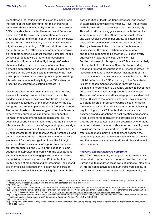By contrast, other studies that focus on the measurable indicators of the Semester find that the overall weak implementation rates of country reforms in response to CSRs indicate a lack of effectiveness toward Semester objectives [17]. However, implementation rates vary a great deal according to both countries and policy areas, and do not tell the whole story of how domestic actors might be slowly adapting to CSR prescriptions over the longer term [18]. A synthesis of competing perspectives on the topic seems to suggest that the Semester indeed serves a purpose toward greater macroeconomic coordination, if perhaps indirectly through softer-law channels. Indeed, one recent piece of research on domestic adaptation to wage-related CSRs highlights that domestic actors are more likely to make use of EU-level prescriptions when those prescriptions support existing interests, and are more likely to ignore CSRs when the prescriptions contradict existing interests [19].

 The ES as a tool for macroeconomic coordination and as a new form of governance has been criticized by academics and policy-makers on two fronts. The first set of criticisms is targeted at the effectiveness of the ES, citing the low rate of implementation of CSR prescriptions. The central thesis in this area suggests that the Semester is both overly bureaucratic and not strong enough in its monitoring and enforcement mechanisms [20]. The second set of criticisms instead holds that the ES is overly intrusive and too much of an infringement upon sovereign decision-making in areas of local nuance. In this vein, the ES exacerbates rather than resolves the differences in and among member states [21]. These two sets of criticisms are relevant for the investigation of how the ES might be better utilized as a source of support for creative and cultural producers in the EU. The first set of criticisms suggests an approach that works with the expectations and reality of how the ES engages with member states, recognizing the narrow purview of CSR content and the limited scope of monitoring and enforcement. The second set of criticisms is particularly relevant for the area of culture – an area which is normally highly attuned to the

particularities of local traditions, practices, and modes of expression, and where too much EU-level input might invite further criticism of an imposition on sovereignty. This set of criticisms suggests an approach that works with the practices of the ES that are the most relevant and well-received by member states, as established by published evidence on the interpretation of CSRs. The logic here would be to maximize the Semester's 'successes' in the areas of labour market support, and to avoid recommending that the ES is used overly aggressively towards the local dimension [22]. For the purposes of this report, the CSRs are a particularly relevant tool of the European Semester for providing direct and tailored prescriptions to EU member states – at least within distinct areas of policy-making that pertain to macroeconomic convergence in the single market. The official definition of a CSR, according to the Commission, is a set of recommendations which "provide policy guidance tailored to each EU country on how to boost jobs and growth, while maintaining sound public finances". These sets of recommendations adapt priorities identified at the EU level to the respective national level and attend to potential sets of progress towards these priorities in the immediate 12-18 month short-term period following [23]. In doing so, the CSR content strikes a balance between broad suggestions of best practice and specific prescriptions for modification of domestic policy. Given that the cultural sector is one characterized by enormous variation between member states in terms of employment provisions for temporary workers, the CSRs seem to offer a reasonable point of engagement between the overarching macroeconomic surveillance aims of the EU and the more nuanced considerations at play in domestic labour markets.

#### *Recovery and Resilience Facility (RRF)*

The COVID-19 pandemic, although a public health crisis, initiated widespread severe economic downturns across Europe due to mandated lockdowns of almost all elements of interpersonal activities and numerous workplaces. In response to the economic impacts of the pandemic, the

ter?" CEPS Research Report 2017/15. Online:<https://www.ceps.eu/publications/how-strengthen-european-semester>

<sup>[17]</sup> Efstathiou, Konstantinos and Guntram B. Wolff (2018). "Is the European Semester effective and useful?" Bruegel, Policy Contribution, No. 9: <https://www.bruegel.org/2018/06/is-the-european-semester-effective-and-useful/>

<sup>[18]</sup> D'Erman et al (2019).

<sup>[19]</sup> D'Erman, Valerie, Daniel Schulz, Amy Verdun, and Dennis Zagermann (2022). "The European Semester in the North and in the South: Domestic [20] One prominent example of this line of criticism can be found here: Alcidi, Cinzia and Daniel Gros (2017). "How to strengthen the European Semes-

<sup>[21]</sup> One prominent example of this line of criticism can be found here: Regan, Aidan (2017). "The imbalance of capitalisms in the Eurozone: Can the north and south of Europe converge?" Comparative European Politics, Vol. 15, No. 6: 969-990.

<sup>[22]</sup> D'Erman et al (2022).

<sup>[23]</sup> European Commission (2018). "Fact Sheet: European Semester 2018 Spring Package explained. [http://europa.eu/rapid/press-release\\_MEMO-](http://europa.eu/rapid/press-release_MEMO-18-3847_en.htm)[18-3847\\_en.htm](http://europa.eu/rapid/press-release_MEMO-18-3847_en.htm)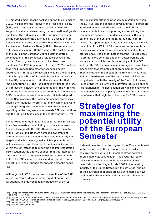EU initiated a major rescue package during the summer of 2020. This became the Recovery and Resilience Facility (RRF), an institutional structure to provide financial support to member states through a combination of grants and loans. The RRF relies upon the European Semester as the framework for its governance. To access the RRF funds, member states needed to submit detailed National Recovery and Resilience Plans (NRRPs). The submission of these plans, along with the timing of the final adoption of the CSRs in the European Council, demonstrate a solidification of the Semester's role towards a slightly 'harder' form of governance than it had been prepandemic. The RRF Regulation of February 2021 stipulated that "the European Semester for economic policy coordination (European Semester), including the principles of the European Pillar of Social Rights, is the framework to identify national reform priorities and monitor their implementation" [24]. The Regulation identifies three areas of intersection between the ES and the RRF: the NRRPs will contribute to address challenges identified in the relevant CSRs, or in other relevant documents officially adopted by the Commission in the Semester; member states may submit their National Reform Programme (NRPs) and CSRs in a single integrated document; and (c) twice-yearly reporting on the progress made towards CSR prescriptions and the RRPs will take place in the context of the ES [25].

Vanhercke and Verdun (2022) suggest that the ES is likely to evolve towards a more binding structure as a result of the new linkage with the RRF. This is because the nature of the NRRPs stimulate more domestic ownership of reform processes as member states need to identify the targets and milestones against which implementation will be assessed, and because of the financial incentives within the RRF attached to reporting and implementation. Taken together, the authors suggest that this intersection has the potential to compel member state governments to take the CSRs more seriously, and to capitalize on the opportunity to seek support for specific domestic needs [26].

With regards to CCS, the current intersection of the RRF within the ES provides a potential point of opportunity for support. The macroeconomic framework of the ES

provides an important point of communication between the EU-level and the domestic level, and the RRF prompts internal domestic debate over how to best utilize recovery funds towards supporting and rebuilding the economy in response to pandemic measures. Given the parameters of the ES and the targeted nature of RRF funds, this report suggests that the best way to maximize the utility of the ES for CCS is to focus on the structural policies surrounding the working conditions of cultural professionals. The benefit here is that the RRF can serve to prompt more concrete action on better working and social security policies for those employed in the CCS, and that the ES can provide a monitoring and surveillance mechanism that prompts action from member states. Empirical data on the impact of the RRF and its potential ability to 'harden' some of the mechanisms of ES does not yet exist due to the novelty of the funds, but the next round of NRRPs is likely to help develop future insights on this relationship. The next section provides an overview of the Semester's specific policy areas and points of contact for influence that might be of best use for CCS workers.

### **Strategies for maximizing the potential utility of the European Semester**

It should be noted that the origins of the ES are contained in the responses to the sovereign debt crisis which occurred among various EU member states between approximately 2009 and 2014. The event that led to the sovereign debt crisis in Europe was the global financial crisis that began in late 2007 in the banking industry of the United States, but the structural origins of the sovereign debt crisis are also considered to have originated in the asymmetrical framework of the euro currency [27] .

- [26] Vanhercke and Verdun (2022).
- [27] Vanheuverzwijn (2017).

<sup>[24]</sup> European Parliament and Council of the EU (2021) Regulation establishing the Recovery and Resilience Facility of 12 February 2021. OJL 57, 18.2.2021, pp. 17–75.

<sup>[25]</sup> Vanhercke, Bart and Amy Verdun (2022). "The European Semester as Goldilocks: Macroeconomic policy coordination and the Recovery and Resilience Facility". JCMS: Journal of Common Market Studies, Vol. 60, No. 1: 204- 223, <https://doi.org/10.1111/jcms.13267>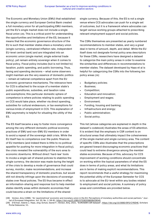The Economic and Monetary Union (EMU) that established the single currency and European Central Bank created a full monetary union for all participating EMU members, yet the EU's single market does not include a single fiscal union [28]. This is a critical point for understanding the opportunities and limitations of the ES, because it means that the economic governance structure of the EU is such that member states share a monetary union (single currency, centralized inflation rate, independent EU-level central bank) and are integrated into an economic union (single market, single external trade policy), yet remain entirely sovereign when it comes to fiscal policy. Fiscal policy includes (but is not limited to) taxation, public spending, and public borrowing. Thus, taxing and spending decisions – what some observers might maintain are the very essence of domestic politics – remain at national competence apart from the EU economic governance mechanisms. The relevance here for CCS is attached to the scope of a member state's public expenditures, subsidies, and taxation rules and exemptions; this particular domestic sphere of competence is where policies relating to public spending on CCS would take place, whether via direct spending, subsidies for cultural endeavours, or tax exemptions for various kinds of employment in CCS. This explanation of EMU asymmetry is helpful for situating the utility of the ES.

The ES itself became a way to foster more convergence among the very different domestic political economy practices of EMU and non-EMU EU members in order to avoid a repeat of the sovereign debt crisis. While the EU itself has no competence over the public finances of EU members (and indeed there is little to no political appetite for pushing for more integration in fiscal policy), the crisis revealed the vulnerability of the euro area to economic downturns. Without direct 'hard-law' tools to invoke a single set of shared policies to stabilize the single currency, the decision was made during the height of the crisis to develop a mode of governance that could survey, monitor, make recommendations, and increase the shared transparency of domestic practices, but would still not directly infringe upon the decisions of sovereign states over fiscal policies. The ES thus became in effect an information-sharing and response tool to help member states identify areas within domestic economies that could become a strain on the limitations of the shared

single currency. Because of this, the ES is not a single venue where CCS advocates can push for a single set of outcomes, but it is a framework where advocates can target various working groups attached to prescribing relevant employment support and social policies.

The CSRs themselves are presented as yearly numbered recommendations to member states, and vary a great deal in terms of amount, depth, and detail. While the EU itself does not designate formal policy area descriptors for these CSRs, researchers have designed a dataset to categorize the main policy areas in order to examine the similarities and differences in recommendations to member states. The dataset developed by Haas et al is helpful for categorizing the CSRs into the following ten policy areas [29]:

- Budgetary policies;
- Business;
- Competition:
- Education and innovation;
- Employment and wages;
- Environment;
- Funding, housing and banking;
- Infrastructure and energy;
- Public administration;
- Social policy.

This list (whose categories are explained in depth in the dataset's codebook) illustrates the areas of ES attention. It is evident that the emphasis in CSR content is on structural areas that ultimately impact the cohesiveness of the single market and single currency area. The content of specific CSRs also illustrates that the prescriptions are geared toward discouraging economic practices that could lead to extreme divergence among the member states economies. Because of this, advocacy for CCS improvement of working conditions should concentrate on working within the topical parameters of what the ES does in terms of policy areas, and what its limitations are in terms of making explicit recommendations. This report recommends that a useful strategy for maximizing the potential utility of the European Semester for CCS is to advocate at the EU-level within any bodies related to employment and social policies. A summary of policy areas and committees are provided below.

<sup>[28]</sup> Verdun, Amy (1996). "An 'asymmetrical' economic and monetary union in the EU: Perceptions of monetary authorities and social partners." Journal of European Integration, Vol. 20, No. 1: 59-81,<https://doi.org10.1080/07036339608429045>

<sup>[29]</sup> D'Erman, Valerie J.; Haas, Jörg; Schulz, Daniel F.; Verdun, Amy, 2021, "EUROSEM CSR Dataset", [https://doi.org/10.5683/SP2/CYRZHE,](https://doi.org/10.5683/SP2/CYRZHE) Scholars Portal Dataverse, V1.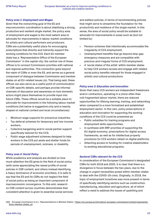### *Policy area 1: Employment and Wages*

Given that the overarching goal of the ES and macroeconomic coordination is about stabilizing a strong, productive and resilient single market, the policy area of employment and wages is the most salient area to advocate for improvements in labour market conditions for artists and cultural performers and producers. CSRs are a potentially useful place for encouraging prescriptions that directly and indirectly support the working conditions for the CCS. Each EU member state has a "Representative Office of the European Commission" in the capital city; the central role of these offices is to connect Commission priorities with national and regional authorities. This connection goes beyond the realm of CSRs or even the ES, and serves as a general component of dialogue between Commission and member states on all EU-related issues [30]. That being said, these offices can also serve as a useful point of communication on CSR-specific details, and perhaps provide informal channels of discussion and awareness on how domestic actors might place themselves to provide input into future CSRs. These offices would be a suitable place to advocate for improvements in the following labour market conditions (list below is suggestive only and is heavily shaped on national context and local circumstances):

- Minimum wage supports for precarious industries;
- Tax deferral schemes for temporary and low-income workers;
- Collective bargaining and/or social partner support specifically tailored for the CCS;
- Public wage adjustment schemes designed to help workers in the CCS put aside and shelter funds for periods of unemployment, sickness, or disability.

### *Policy area 2: Social Policy*

While academics and analysts are divided on how much attention the ES gives to the field of social policy (with some appreciating the raised profile of social policies in CSR content, and others instead identifying a heavy dominance of economic priorities), it is safe to say that the ES and its CSRs do not neglect the field of social policy as being an important component of macroeconomic convergence. To this end, research on CSR content across countries demonstrates that consistent attention is given to essential social services and welfare policies, in terms of recommending policies that might serve to streamline the foundation for the productivity and resilience of the single market. In this sense, the area of social policy would be suitable to advocate for improvements in areas such as (but not limited to):

- Pension schemes that intentionally accommodate the irregularity of CCS employment;
- Unemployment benefits that go beyond stop-gap emergency measures and are compatible with precious and irregular forms of CCS employment;
- A 'social status of the artist' within member states to help CCS workers access and engage with related social policy benefits relevant for those engaged in artistic and cultural productions.

### *Policy area 3: Education and Innovation*

Given that many CCS workers are independent freelancers and/or contractors, operating in a (more often than not) fragmented labour market, there are reduced opportunities for lifelong learning, training, and networking when compared to a more formalized and established employment sector. In this vein, policy prescriptions in education and innovation for supporting the working conditions of the CCS could be presented as:

- Public subsidies for training programs and employment skills opportunities;
- In synthesis with RRF priorities of supporting the EU digital economy, prescriptions for digital access frameworks, as well as for intellectual property provisions for CCS workers reliant on digital platforms;
- Attaching access to funding for creative stakeholders to existing educational programs.

### *Sectoral CSRs relevant for the CCS*

In consideration of the European Commission's designated CSRs for both 2019 and 2020, it is clear that there is a divergence in focus between the two years, due to the change in urgent necessities posed within member states to deal with the COVID-19 crisis. Originally, in 2019, the topic of employment incentives was more present in terms of specifically identifying sectors such as construction, manufacturing, education and agriculture, all of which reflect a need to address the issues of upskilling and

<sup>[30]</sup> European Commission (n.d.). "Representations in Member States." [https://ec.europa.eu/info/about-european-commission/contact/representa]( https://ec.europa.eu/info/about-european-commission/contact/representations-member-states_en)[tions-member-states\\_en]( https://ec.europa.eu/info/about-european-commission/contact/representations-member-states_en)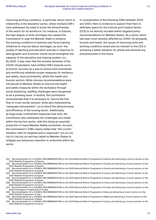improving working conditions. A particular sector which is noteworthy is the education sector, where multiple CSR's have addressed the need to boost the attractiveness of the sector for its workforce. For instance, in Estonia, the high degree of skills shortages has caused the Commission to urge the Member State to enhance the working conditions of teachers and focus training initiatives to improve labour shortages, as such 'the quality of teaching and education policies in response to demographic and economic trends would strengthen the capacity of the education and training system' [31]. By 2020, it was clear that the societal demands of the COVID-19 pandemic have shifted CSR's towards socioeconomic recovery as a way to ensure both businesses and workforces establish proper measures for resiliency and safety, most prominently, within the health and tourism sectors. While obvious recommendations were introduced to Member States to improve the health and safety measures within the workplace through social distancing, staffing challenges were recognised to be a pressing issue. In Austria, the Commission recommended that it is necessary to 'secure the free flow of cross-border workers' while also implementing "adequate remuneration" [32] to boost the attractiveness and efficiency of the nursing sector. Additionally, as large scale confinement measures took hold, the Commission also addressed the challenges and needs within the tourism sector, with this being an essential proportion of many Member States economies. As such, the Commission's CSRs clearly states that "the current situation calls for targeted policy responses" [33] [34] [35] [36] [37] [38] [39] [40] and has called on Member States to mitigate any temporary reduction in uniformity within the sector.

In consideration of the following CSRs between 2019 and 2020, there is evidence to support that there is definitely space for the Cultural and Creative Sector (CCS) to be directly included within targeted policy recommendations for Member States. As a sector which has been most severely affected by COVID-19 alongside tourism and health, the issues of improving skills and working conditions would also be relevant to the CCS in achieving a better situation for artists and diminish any precariousness in the future.

- [31] Recommendation for a COUNCIL RECOMMENDATION on the 2019 National Reform Programme of Estonia and delivering a Council opinion on the 2019 Stability Programme of Estonia
- [32] Recommendation for a COUNCIL RECOMMENDATION on the 2020 National Reform Programme of Austria and delivering a Council opinion on the 2020 Stability Programme of Austria
- [33] Recommendation for a COUNCIL RECOMMENDATION on the 2020 National Reform Programme of Austria and delivering a Council opinion on the 2020 Stability Programme of Austria [34] Recommendation for a COUNCIL RECOMMENDATION on the 2020 National Reform Programme of Cyprus and delivering a Council opinion on the
- 2020 Stability Programme of Cyprus
- [35] Recommendation for a COUNCIL RECOMMENDATION on the 2020 National Reform Programme of Greece and delivering a Council opinion on the 2020 Stability Programme of Greece [36] Recommendation for a COUNCIL RECOMMENDATION on the 2020 National Reform Programme of France and delivering a Council opinion on the
- 2020 Stability Programme of France
- [37] Recommendation for a COUNCIL RECOMMENDATION on the 2020 National Reform Programme of Croatia and delivering a Council opinion on the 2020 Convergence Programme of Croatia
- [38] Recommendation for a COUNCIL RECOMMENDATION on the 2020 National Reform Programme of Italy and delivering a Council opinion on the 2020 Stability Programme of Italy
- [39] Recommendation for a COUNCIL RECOMMENDATION on the 2020 National Reform Programme of Malta and delivering a Council opinion on the 2020 Stability Programme of Malta
- [40] Recommendation for a COUNCIL RECOMMENDATION on the 2020 National Reform Programme of Cyprus and delivering a Council opinion on the 2020 Stability Programme of Cyprus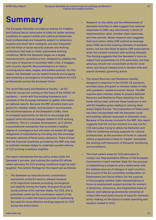### **Summary**

The European Semester provides an avenue for Creative and Cultural Sector advocates to lobby for better working conditions to support artists and cultural professionals. Such professionals are frequently subject to temporary projects and short-term contracts, and also frequently lack the kinds of social security policies and working protections that help to foster sustainable working conditions. While the Semester began as a largely macroeconomic surveillance tool, designed to stabilize the euro area in response to sovereign debt crisis, it engages with Country-Specific Recommendations on topics involving labour laws, wages, and welfare policies. For this reason, the Semester can be helpful towards encouraging and fostering a convergence of working conditions for CCS professionals across the European Union.

The recent Recovery and Resilience Facility – an EU financial rescue tool coming on the heels of the COVID-19 pandemic – works with the existing framework and schedule of the European Semester to gather information on national reports. Because the RRF provides loans and grants for member states, and because it accompanies the recommendations of the Semester's CSRs, there is increased opportunity for the EU to encourage and support more structural changes related to CCS working conditions. This is a valuable development, as it utilizes a supranational mechanism that promotes a healthy degree of convergence but still does not breach EU legal obligations of subsidiarity by intruding into the sovereign domestic spheres of fiscal policy decisions. There is hope that the financial incentives provided by the RRF may help to motivate member states to undertake parallel reforms of CCS working conditions together.

The report summarizes the key policy areas under the Semester's purview, and outlines the central EU offices where advocacy for CCS working conditions might be best targeted. The central findings for this report are as follows:

• The Semester as macroeconomic coordination mechanism at the EU-level is relevant because of its objectives towards promoting convergence and stability among the highly divergent fiscal and social policies of EU member states. For CCS, this is potentially useful as the coordinative aspect of the Semester provides the topical purview of addressing the need for more effective working supports for CCS across the entire Union.

- Research on the utility and the effectiveness of Semester activities to date suggest that national responses to CSRs vary enormously in terms of implementation rates, member state responses, and time periods. Newer research also suggests that local actors utilize CSR content as leverage when CSRs serve the existing interests of domestic actors, but are also likely to ignore CSR prescriptions when the content contrasts with existing interests. This finding suggests that the Semester's tools do indeed hold possibilities for CCS advocates, but that advocacy should not concentrate at the EU-level alone, and should instead work in tandem with wellplaced domestic governing actors.
- The recent Recovery and Resilience Facility, designed in response to the COVID-19 pandemic, provides loans and grant to member states to help with pandemic-related economic fallout. The RRF requires each member states to prepare National Recovery and Resilience Plans detailing how the funds will be used, and how these funds are in line with EU headline goals relating to (among other areas) Digital Europe. The preparation of these plans has been incorporated with the Semester cycle and existing national responses to Semester tools. Because of the money involved in the RRF, this report suggests that the current moment is a ripe one for CCS advocates trying to utilize the Semester and CSRs for furthering working supports for cultural professionals, as the provision of funds to national reform programmes is likely to 'harden' somewhat the existing soft framework of Semester monitoring and surveillance.
- The most salient areas for CCS advocates to contact are: Representative Offices of the European Commission in each member state (for the purpose of establishing a presence and a relationship with EU-national sources of dialogue in each country); the Council of the EU committee configuration on Employment and Social Affairs (for the purpose of encouraging member state representatives to focus on employment support policies for workers in temporary, precarious, and fragmented areas of labour); and national governmental ministries of culture (the most direct source of input for domestic policy-making on the topics of public spending and taxation related to CCS).